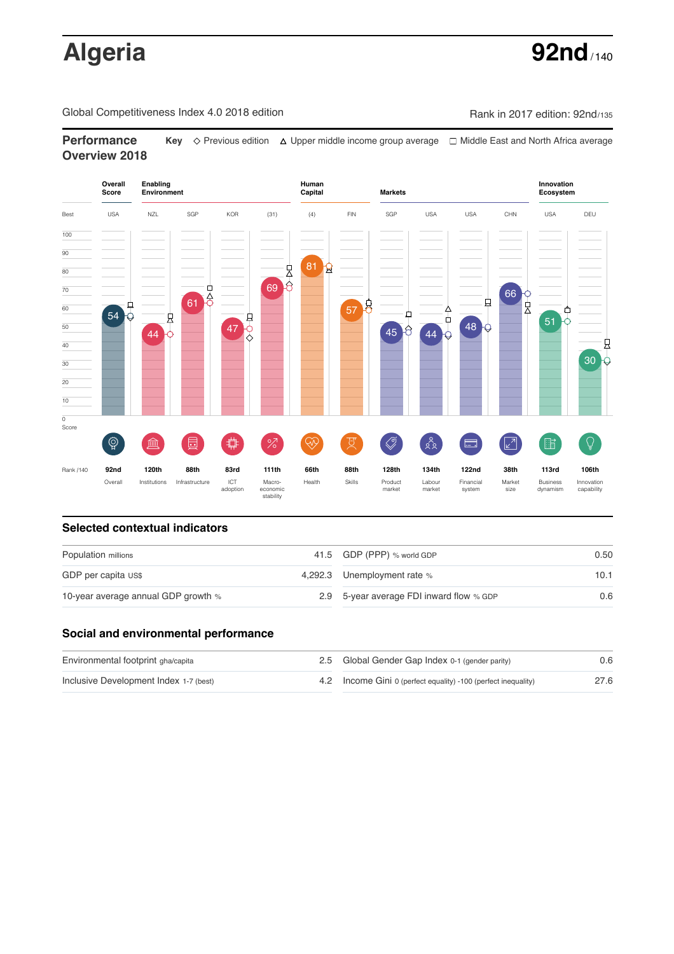# **Algeria 92nd**

Global Competitiveness Index 4.0 2018 edition Rank in 2017 edition: 92nd/135

**Performance Key**  $\Diamond$  Previous edition △ Upper middle income group average □ Middle East and North Africa average **Overview 2018**



### **Selected contextual indicators**

| Population millions                 | 41.5 GDP (PPP) % world GDP               | 0.50 |  |
|-------------------------------------|------------------------------------------|------|--|
| GDP per capita US\$                 | 4,292.3 Unemployment rate %              | 10.1 |  |
| 10-year average annual GDP growth % | 2.9 5-year average FDI inward flow % GDP | 0.6  |  |

### **Social and environmental performance**

| Environmental footprint gha/capita     | 2.5 Global Gender Gap Index 0-1 (gender parity)                | 0.6  |
|----------------------------------------|----------------------------------------------------------------|------|
| Inclusive Development Index 1-7 (best) | 4.2 Income Gini 0 (perfect equality) -100 (perfect inequality) | 27.6 |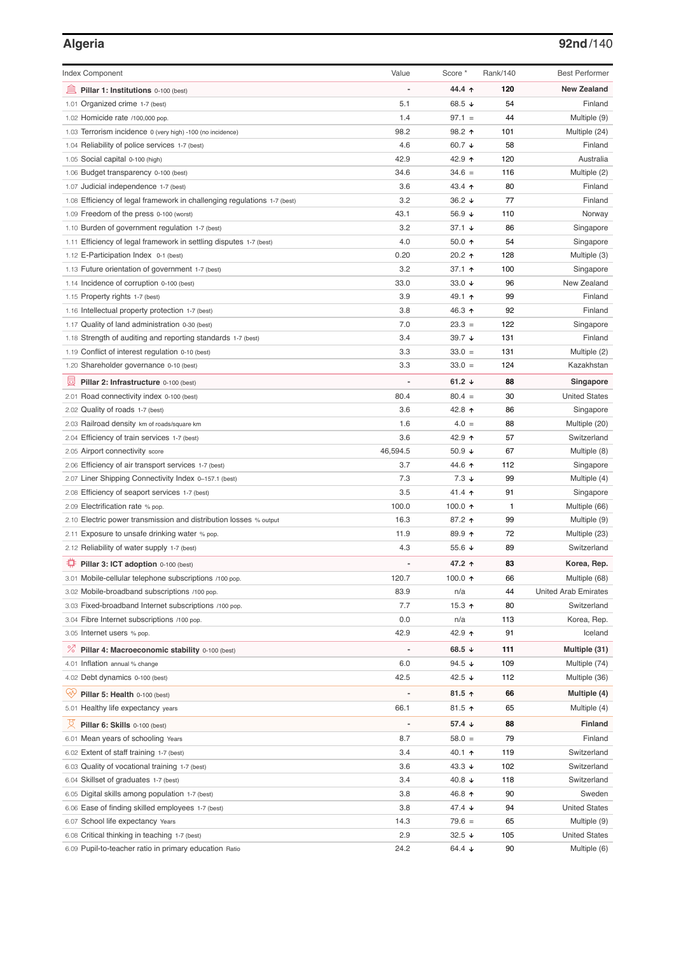## **Algeria 92nd**/140

| <b>Index Component</b>                                                   | Value          | Score *          | Rank/140 | <b>Best Performer</b>       |
|--------------------------------------------------------------------------|----------------|------------------|----------|-----------------------------|
| 寙<br>Pillar 1: Institutions 0-100 (best)                                 |                | 44.4 ሳ           | 120      | <b>New Zealand</b>          |
| 1.01 Organized crime 1-7 (best)                                          | 5.1            | 68.5 ↓           | 54       | Finland                     |
| 1.02 Homicide rate /100,000 pop.                                         | 1.4            | $97.1 =$         | 44       | Multiple (9)                |
| 1.03 Terrorism incidence 0 (very high) -100 (no incidence)               | 98.2           | 98.2 ↑           | 101      | Multiple (24)               |
| 1.04 Reliability of police services 1-7 (best)                           | 4.6            | 60.7 ↓           | 58       | Finland                     |
| 1.05 Social capital 0-100 (high)                                         | 42.9           | 42.9 ↑           | 120      | Australia                   |
| 1.06 Budget transparency 0-100 (best)                                    | 34.6           | $34.6 =$         | 116      | Multiple (2)                |
| 1.07 Judicial independence 1-7 (best)                                    | 3.6            | 43.4 ↑           | 80       | Finland                     |
| 1.08 Efficiency of legal framework in challenging regulations 1-7 (best) | 3.2            | 36.2 ↓           | 77       | Finland                     |
| 1.09 Freedom of the press 0-100 (worst)                                  | 43.1           | 56.9 ↓           | 110      | Norway                      |
| 1.10 Burden of government regulation 1-7 (best)                          | 3.2            | 37.1 ↓           | 86       | Singapore                   |
| 1.11 Efficiency of legal framework in settling disputes 1-7 (best)       | 4.0            | 50.0 ↑           | 54       | Singapore                   |
| 1.12 E-Participation Index 0-1 (best)                                    | 0.20           | 20.2 ↑           | 128      | Multiple (3)                |
| 1.13 Future orientation of government 1-7 (best)                         | 3.2            | 37.1 ↑           | 100      | Singapore                   |
| 1.14 Incidence of corruption 0-100 (best)                                | 33.0           | 33.0 $\sqrt{ }$  | 96       | New Zealand                 |
| 1.15 Property rights 1-7 (best)                                          | 3.9            | 49.1 ↑           | 99       | Finland                     |
| 1.16 Intellectual property protection 1-7 (best)                         | 3.8            | 46.3 ↑           | 92       | Finland                     |
| 1.17 Quality of land administration 0-30 (best)                          | 7.0            | $23.3 =$         | 122      | Singapore                   |
| 1.18 Strength of auditing and reporting standards 1-7 (best)             | 3.4            | 39.7 ↓           | 131      | Finland                     |
| 1.19 Conflict of interest regulation 0-10 (best)                         | 3.3            | $33.0 =$         | 131      | Multiple (2)                |
| 1.20 Shareholder governance 0-10 (best)                                  | 3.3            | $33.0 =$         | 124      | Kazakhstan                  |
| 員<br>Pillar 2: Infrastructure 0-100 (best)                               |                | 61.2 $\sqrt{ }$  | 88       | Singapore                   |
| 2.01 Road connectivity index 0-100 (best)                                | 80.4           | $80.4 =$         | 30       | <b>United States</b>        |
| 2.02 Quality of roads 1-7 (best)                                         | 3.6            | 42.8 ↑           | 86       | Singapore                   |
| 2.03 Railroad density km of roads/square km                              | 1.6            | $4.0 =$          | 88       | Multiple (20)               |
| 2.04 Efficiency of train services 1-7 (best)                             | 3.6            | 42.9 ተ           | 57       | Switzerland                 |
| 2.05 Airport connectivity score                                          | 46,594.5       | 50.9 $\sqrt{ }$  | 67       | Multiple (8)                |
| 2.06 Efficiency of air transport services 1-7 (best)                     | 3.7            | 44.6 ↑           | 112      | Singapore                   |
| 2.07 Liner Shipping Connectivity Index 0-157.1 (best)                    | 7.3            | $7.3 \downarrow$ | 99       | Multiple (4)                |
| 2.08 Efficiency of seaport services 1-7 (best)                           | 3.5            | 41.4 ተ           | 91       | Singapore                   |
| 2.09 Electrification rate % pop.                                         | 100.0          | 100.0 $\uparrow$ | 1        | Multiple (66)               |
| 2.10 Electric power transmission and distribution losses % output        | 16.3           | 87.2 ↑           | 99       | Multiple (9)                |
| 2.11 Exposure to unsafe drinking water % pop.                            | 11.9           | 89.9 个           | 72       | Multiple (23)               |
| 2.12 Reliability of water supply 1-7 (best)                              | 4.3            | 55.6 ↓           | 89       | Switzerland                 |
| O<br>Pillar 3: ICT adoption 0-100 (best)                                 |                | 47.2 ↑           | 83       | Korea, Rep.                 |
| 3.01 Mobile-cellular telephone subscriptions /100 pop.                   | 120.7          | 100.0 $\uparrow$ | 66       | Multiple (68)               |
| 3.02 Mobile-broadband subscriptions /100 pop.                            | 83.9           | n/a              | 44       | <b>United Arab Emirates</b> |
| 3.03 Fixed-broadband Internet subscriptions /100 pop.                    | 7.7            | 15.3 $\uparrow$  | 80       | Switzerland                 |
| 3.04 Fibre Internet subscriptions /100 pop.                              | 0.0            | n/a              | 113      | Korea, Rep.                 |
| 3.05 Internet users % pop.                                               | 42.9           | 42.9 ↑           | 91       | Iceland                     |
| ℅<br>Pillar 4: Macroeconomic stability 0-100 (best)                      | $\overline{a}$ | 68.5 $\sqrt{ }$  | 111      | Multiple (31)               |
| 4.01 Inflation annual % change                                           | 6.0            | 94.5 $\sqrt{ }$  | 109      | Multiple (74)               |
| 4.02 Debt dynamics 0-100 (best)                                          | 42.5           | 42.5 ↓           | 112      | Multiple (36)               |
| Qv<br>Pillar 5: Health 0-100 (best)                                      |                | 81.5 ↑           | 66       | Multiple (4)                |
| 5.01 Healthy life expectancy years                                       | 66.1           | 81.5 个           | 65       | Multiple (4)                |
| 섯<br>Pillar 6: Skills 0-100 (best)                                       | $\overline{a}$ | 57.4 ↓           | 88       | Finland                     |
| 6.01 Mean years of schooling Years                                       | 8.7            | $58.0 =$         | 79       | Finland                     |
| 6.02 Extent of staff training 1-7 (best)                                 | 3.4            | 40.1 ↑           | 119      | Switzerland                 |
| 6.03 Quality of vocational training 1-7 (best)                           | 3.6            | 43.3 $\sqrt{ }$  | 102      | Switzerland                 |
| 6.04 Skillset of graduates 1-7 (best)                                    | 3.4            | 40.8 ↓           | 118      | Switzerland                 |
| 6.05 Digital skills among population 1-7 (best)                          | 3.8            | 46.8 ↑           | 90       | Sweden                      |
| 6.06 Ease of finding skilled employees 1-7 (best)                        | 3.8            | 47.4 ↓           | 94       | <b>United States</b>        |
| 6.07 School life expectancy Years                                        | 14.3           | $79.6 =$         | 65       | Multiple (9)                |
| 6.08 Critical thinking in teaching 1-7 (best)                            | 2.9            | 32.5 ↓           | 105      | <b>United States</b>        |
| 6.09 Pupil-to-teacher ratio in primary education Ratio                   | 24.2           | 64.4 ↓           | 90       | Multiple (6)                |